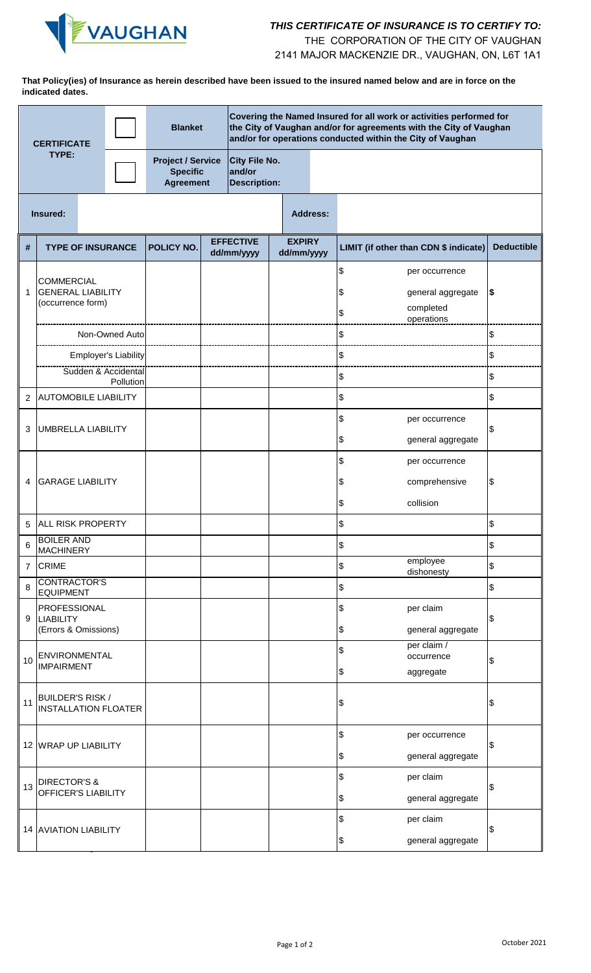

## *THIS CERTIFICATE OF INSURANCE IS TO CERTIFY TO:*

THE CORPORATION OF THE CITY OF VAUGHAN

2141 MAJOR MACKENZIE DR., VAUGHAN, ON, L6T 1A1

**That Policy(ies) of Insurance as herein described have been issued to the insured named below and are in force on the indicated dates.**

| Covering the Named Insured for all work or activities performed for<br><b>Blanket</b><br>the City of Vaughan and/or for agreements with the City of Vaughan<br>and/or for operations conducted within the City of Vaughan<br><b>CERTIFICATE</b> |                                                                    |                |                                  |                                                                                                                          |  |                                |                             |                                               |                                       |                                                                |                   |
|-------------------------------------------------------------------------------------------------------------------------------------------------------------------------------------------------------------------------------------------------|--------------------------------------------------------------------|----------------|----------------------------------|--------------------------------------------------------------------------------------------------------------------------|--|--------------------------------|-----------------------------|-----------------------------------------------|---------------------------------------|----------------------------------------------------------------|-------------------|
| TYPE:                                                                                                                                                                                                                                           |                                                                    |                |                                  | <b>City File No.</b><br><b>Project / Service</b><br><b>Specific</b><br>and/or<br><b>Agreement</b><br><b>Description:</b> |  |                                |                             |                                               |                                       |                                                                |                   |
|                                                                                                                                                                                                                                                 | Insured:                                                           |                |                                  |                                                                                                                          |  |                                |                             | <b>Address:</b>                               |                                       |                                                                |                   |
| #                                                                                                                                                                                                                                               | <b>TYPE OF INSURANCE</b>                                           |                |                                  | POLICY NO.                                                                                                               |  | <b>EFFECTIVE</b><br>dd/mm/yyyy | <b>EXPIRY</b><br>dd/mm/yyyy |                                               | LIMIT (if other than CDN \$ indicate) |                                                                | <b>Deductible</b> |
| 1                                                                                                                                                                                                                                               | <b>COMMERCIAL</b><br><b>GENERAL LIABILITY</b><br>(occurrence form) |                |                                  |                                                                                                                          |  |                                |                             |                                               | \$<br>\$<br>\$                        | per occurrence<br>general aggregate<br>completed<br>operations | $\boldsymbol{\$}$ |
|                                                                                                                                                                                                                                                 |                                                                    | Non-Owned Auto |                                  |                                                                                                                          |  |                                |                             |                                               | \$                                    |                                                                | \$                |
|                                                                                                                                                                                                                                                 |                                                                    |                | <b>Employer's Liability</b>      |                                                                                                                          |  |                                |                             |                                               | \$                                    |                                                                | \$                |
|                                                                                                                                                                                                                                                 |                                                                    |                | Sudden & Accidental<br>Pollution |                                                                                                                          |  |                                |                             |                                               | \$                                    |                                                                | \$                |
| 2                                                                                                                                                                                                                                               | <b>AUTOMOBILE LIABILITY</b>                                        |                |                                  |                                                                                                                          |  |                                |                             |                                               | \$                                    |                                                                | \$                |
| 3                                                                                                                                                                                                                                               | <b>UMBRELLA LIABILITY</b>                                          |                |                                  |                                                                                                                          |  |                                | \$                          |                                               | \$                                    | per occurrence<br>general aggregate                            | \$                |
|                                                                                                                                                                                                                                                 |                                                                    |                |                                  |                                                                                                                          |  |                                |                             |                                               | \$                                    | per occurrence                                                 |                   |
| 4                                                                                                                                                                                                                                               | <b>GARAGE LIABILITY</b>                                            |                |                                  |                                                                                                                          |  |                                |                             |                                               |                                       | comprehensive                                                  | \$                |
|                                                                                                                                                                                                                                                 |                                                                    |                |                                  |                                                                                                                          |  |                                |                             |                                               | \$                                    | collision                                                      |                   |
| 5                                                                                                                                                                                                                                               | <b>ALL RISK PROPERTY</b>                                           |                |                                  |                                                                                                                          |  |                                |                             |                                               | \$                                    |                                                                | \$                |
| 6                                                                                                                                                                                                                                               | <b>BOILER AND</b><br><b>MACHINERY</b>                              |                |                                  |                                                                                                                          |  |                                |                             |                                               | $\boldsymbol{\$}$                     |                                                                | \$                |
| $\overline{7}$                                                                                                                                                                                                                                  | <b>CRIME</b>                                                       |                |                                  |                                                                                                                          |  |                                |                             | $\, \, \raisebox{12pt}{$\scriptstyle \circ$}$ |                                       | employee<br>dishonesty                                         | \$                |
| 8                                                                                                                                                                                                                                               | CONTRACTOR'S<br><b>EQUIPMENT</b>                                   |                |                                  |                                                                                                                          |  |                                |                             | \$                                            |                                       |                                                                | \$                |
| 9                                                                                                                                                                                                                                               | <b>PROFESSIONAL</b><br><b>LIABILITY</b><br>(Errors & Omissions)    |                |                                  |                                                                                                                          |  |                                |                             |                                               | \$<br>\$                              | per claim<br>\$<br>general aggregate                           |                   |
| 10                                                                                                                                                                                                                                              | <b>ENVIRONMENTAL</b><br><b>IMPAIRMENT</b>                          |                |                                  |                                                                                                                          |  |                                |                             |                                               | \$<br>\$                              | per claim /<br>occurrence<br>aggregate                         | \$                |
| 11                                                                                                                                                                                                                                              | <b>BUILDER'S RISK /</b><br><b>INSTALLATION FLOATER</b>             |                |                                  |                                                                                                                          |  |                                |                             |                                               | \$                                    |                                                                | \$                |
|                                                                                                                                                                                                                                                 | 12 WRAP UP LIABILITY                                               |                |                                  |                                                                                                                          |  |                                |                             |                                               | \$<br>\$                              | per occurrence<br>general aggregate                            | \$                |
| 13                                                                                                                                                                                                                                              | <b>DIRECTOR'S &amp;</b><br>OFFICER'S LIABILITY                     |                |                                  |                                                                                                                          |  |                                |                             |                                               | \$                                    | per claim                                                      | \$                |
|                                                                                                                                                                                                                                                 |                                                                    |                |                                  |                                                                                                                          |  |                                |                             |                                               | \$                                    | general aggregate                                              |                   |
|                                                                                                                                                                                                                                                 | 14 AVIATION LIABILITY                                              |                |                                  |                                                                                                                          |  |                                |                             |                                               | \$<br>\$                              | per claim<br>general aggregate                                 | \$                |